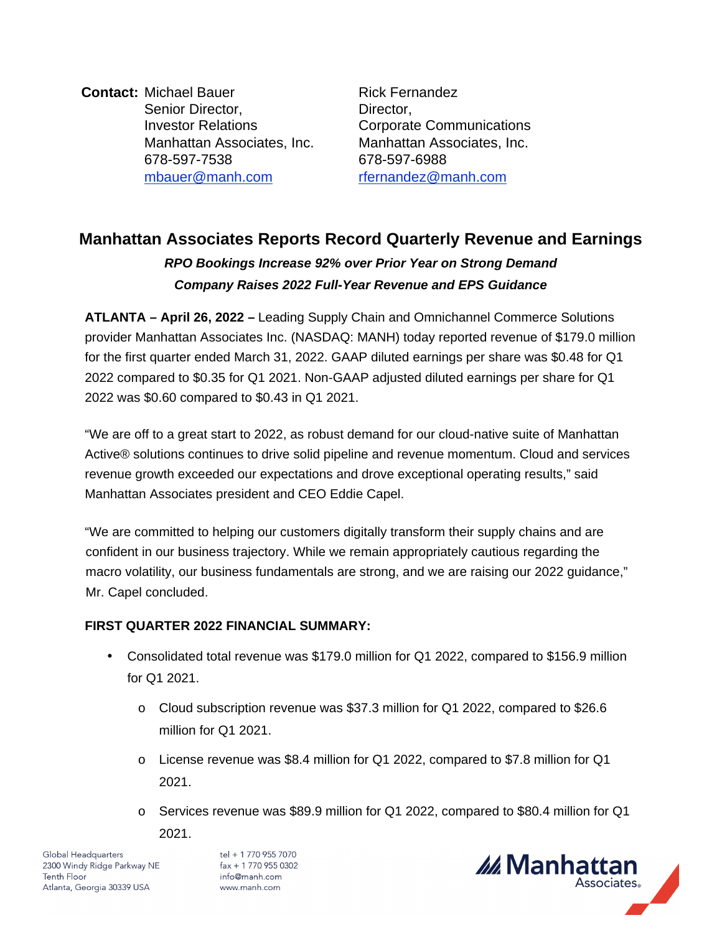**Contact:** Michael Bauer **Rick Fernandez** Senior Director, Investor Relations Manhattan Associates, Inc. Manhattan Associates, Inc. 678-597-7538 678-597-6988 [mbauer@manh.com](mailto:mbauer@manh.com) [rfernandez@manh.com](mailto:rfernandez@manh.com)

Director, Corporate Communications

# **Manhattan Associates Reports Record Quarterly Revenue and Earnings**

# **RPO Bookings Increase 92% over Prior Year on Strong Demand Company Raises 2022 Full-Year Revenue and EPS Guidance**

**ATLANTA – April 26, 2022 –** Leading Supply Chain and Omnichannel Commerce Solutions provider Manhattan Associates Inc. (NASDAQ: MANH) today reported revenue of \$179.0 million for the first quarter ended March 31, 2022. GAAP diluted earnings per share was \$0.48 for Q1 2022 compared to \$0.35 for Q1 2021. Non-GAAP adjusted diluted earnings per share for Q1 2022 was \$0.60 compared to \$0.43 in Q1 2021.

"We are off to a great start to 2022, as robust demand for our cloud-native suite of Manhattan Active® solutions continues to drive solid pipeline and revenue momentum. Cloud and services revenue growth exceeded our expectations and drove exceptional operating results," said Manhattan Associates president and CEO Eddie Capel.

"We are committed to helping our customers digitally transform their supply chains and are confident in our business trajectory. While we remain appropriately cautious regarding the macro volatility, our business fundamentals are strong, and we are raising our 2022 guidance," Mr. Capel concluded.

# **FIRST QUARTER 2022 FINANCIAL SUMMARY:**

- Consolidated total revenue was \$179.0 million for Q1 2022, compared to \$156.9 million for Q1 2021.
	- o Cloud subscription revenue was \$37.3 million for Q1 2022, compared to \$26.6 million for Q1 2021.
	- o License revenue was \$8.4 million for Q1 2022, compared to \$7.8 million for Q1 2021.
	- o Services revenue was \$89.9 million for Q1 2022, compared to \$80.4 million for Q1

2021.

Global Headquarters 2300 Windy Ridge Parkway NE **Tenth Floor** Atlanta, Georgia 30339 USA

tel + 1 770 955 7070  $fax + 17709550302$ info@manh.com www.manh.com

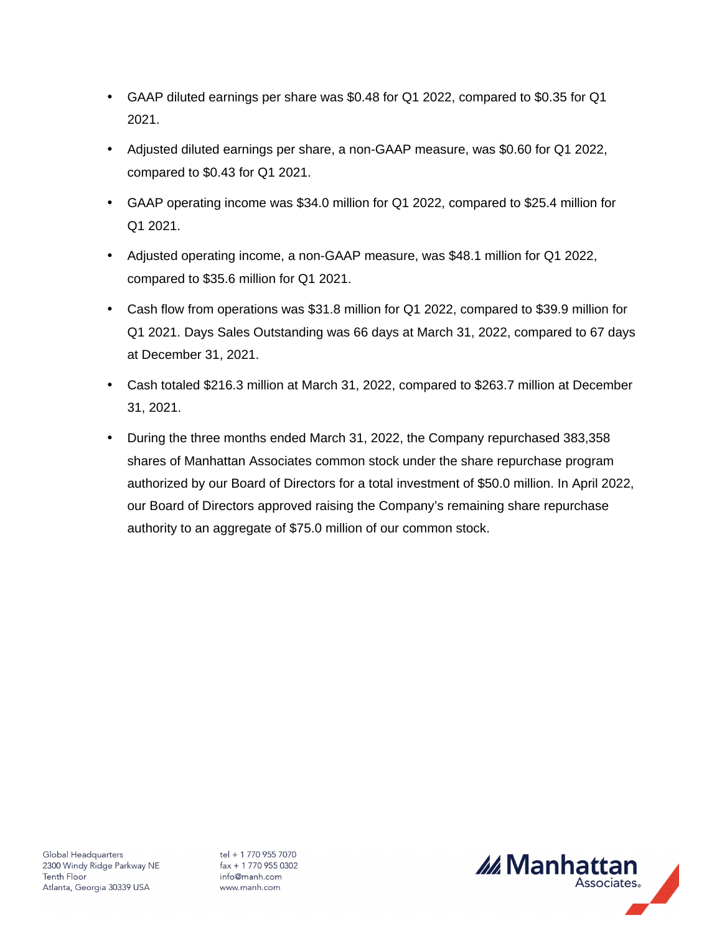- GAAP diluted earnings per share was \$0.48 for Q1 2022, compared to \$0.35 for Q1 2021.
- Adjusted diluted earnings per share, a non-GAAP measure, was \$0.60 for Q1 2022, compared to \$0.43 for Q1 2021.
- GAAP operating income was \$34.0 million for Q1 2022, compared to \$25.4 million for Q1 2021.
- Adjusted operating income, a non-GAAP measure, was \$48.1 million for Q1 2022, compared to \$35.6 million for Q1 2021.
- Cash flow from operations was \$31.8 million for Q1 2022, compared to \$39.9 million for Q1 2021. Days Sales Outstanding was 66 days at March 31, 2022, compared to 67 days at December 31, 2021.
- Cash totaled \$216.3 million at March 31, 2022, compared to \$263.7 million at December 31, 2021.
- During the three months ended March 31, 2022, the Company repurchased 383,358 shares of Manhattan Associates common stock under the share repurchase program authorized by our Board of Directors for a total investment of \$50.0 million. In April 2022, our Board of Directors approved raising the Company's remaining share repurchase authority to an aggregate of \$75.0 million of our common stock.

tel + 1 770 955 7070  $fax + 17709550302$ info@manh.com www.manh.com

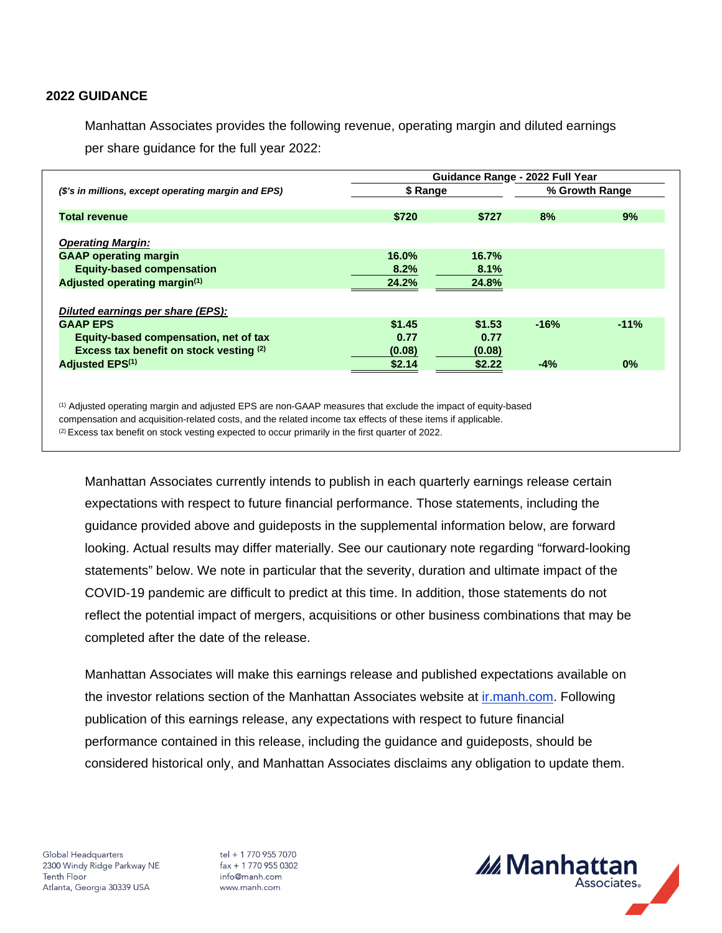# **2022 GUIDANCE**

Manhattan Associates provides the following revenue, operating margin and diluted earnings per share guidance for the full year 2022:

|                                                     | Guidance Range - 2022 Full Year |        |        |                |  |
|-----------------------------------------------------|---------------------------------|--------|--------|----------------|--|
| (\$'s in millions, except operating margin and EPS) | \$ Range                        |        |        | % Growth Range |  |
|                                                     |                                 |        |        |                |  |
| <b>Total revenue</b>                                | \$720                           | \$727  | 8%     | 9%             |  |
| <b>Operating Margin:</b>                            |                                 |        |        |                |  |
| <b>GAAP operating margin</b>                        | 16.0%                           | 16.7%  |        |                |  |
| <b>Equity-based compensation</b>                    | 8.2%                            | 8.1%   |        |                |  |
| Adjusted operating margin <sup>(1)</sup>            | 24.2%                           | 24.8%  |        |                |  |
|                                                     |                                 |        |        |                |  |
| Diluted earnings per share (EPS):                   |                                 |        |        |                |  |
| <b>GAAP EPS</b>                                     | \$1.45                          | \$1.53 | $-16%$ | $-11%$         |  |
| Equity-based compensation, net of tax               | 0.77                            | 0.77   |        |                |  |
| Excess tax benefit on stock vesting (2)             | (0.08)                          | (0.08) |        |                |  |
| <b>Adjusted EPS(1)</b>                              | \$2.14                          | \$2.22 | $-4%$  | 0%             |  |

(1) Adjusted operating margin and adjusted EPS are non-GAAP measures that exclude the impact of equity-based compensation and acquisition-related costs, and the related income tax effects of these items if applicable.

 $(2)$  Excess tax benefit on stock vesting expected to occur primarily in the first quarter of 2022.

Manhattan Associates currently intends to publish in each quarterly earnings release certain expectations with respect to future financial performance. Those statements, including the guidance provided above and guideposts in the supplemental information below, are forward looking. Actual results may differ materially. See our cautionary note regarding "forward-looking statements" below. We note in particular that the severity, duration and ultimate impact of the COVID-19 pandemic are difficult to predict at this time. In addition, those statements do not reflect the potential impact of mergers, acquisitions or other business combinations that may be completed after the date of the release.

Manhattan Associates will make this earnings release and published expectations available on the investor relations section of the Manhattan Associates website at [ir.manh.com](http://ir.manh.com/). Following publication of this earnings release, any expectations with respect to future financial performance contained in this release, including the guidance and guideposts, should be considered historical only, and Manhattan Associates disclaims any obligation to update them.

Global Headquarters 2300 Windy Ridge Parkway NE **Tenth Floor** Atlanta, Georgia 30339 USA

tel + 1 770 955 7070  $\text{fax} + 17709550302$ info@manh.com www.manh.com

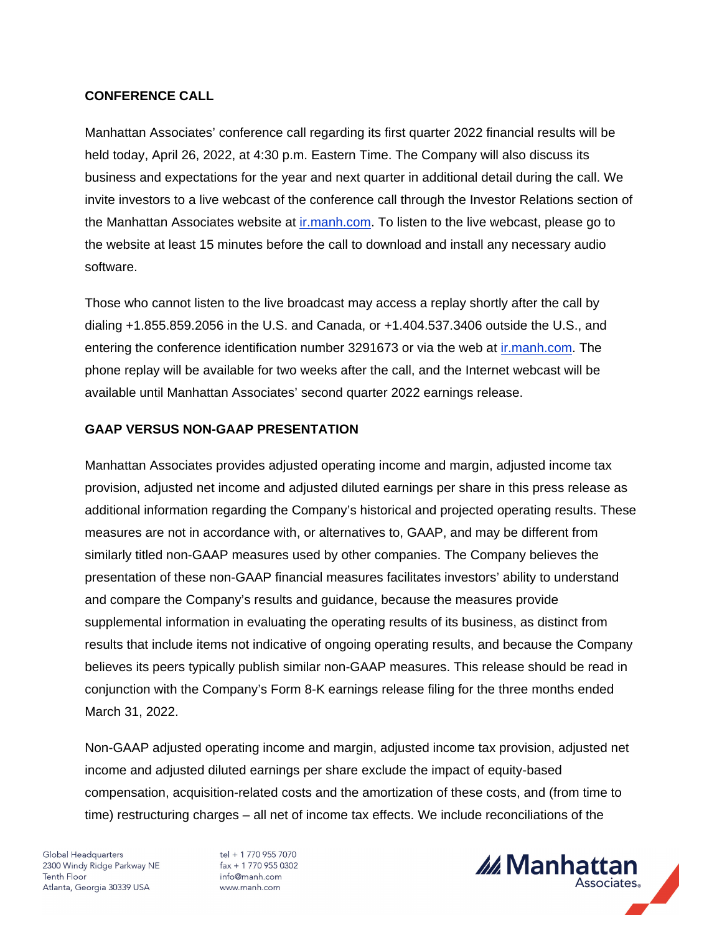# **CONFERENCE CALL**

Manhattan Associates' conference call regarding its first quarter 2022 financial results will be held today, April 26, 2022, at 4:30 p.m. Eastern Time. The Company will also discuss its business and expectations for the year and next quarter in additional detail during the call. We invite investors to a live webcast of the conference call through the Investor Relations section of the Manhattan Associates website at [ir.manh.com.](http://ir.manh.com/) To listen to the live webcast, please go to the website at least 15 minutes before the call to download and install any necessary audio software.

Those who cannot listen to the live broadcast may access a replay shortly after the call by dialing +1.855.859.2056 in the U.S. and Canada, or +1.404.537.3406 outside the U.S., and entering the conference identification number 3291673 or via the web at [ir.manh.com](http://ir.manh.com/). The phone replay will be available for two weeks after the call, and the Internet webcast will be available until Manhattan Associates' second quarter 2022 earnings release.

# **GAAP VERSUS NON-GAAP PRESENTATION**

Manhattan Associates provides adjusted operating income and margin, adjusted income tax provision, adjusted net income and adjusted diluted earnings per share in this press release as additional information regarding the Company's historical and projected operating results. These measures are not in accordance with, or alternatives to, GAAP, and may be different from similarly titled non-GAAP measures used by other companies. The Company believes the presentation of these non-GAAP financial measures facilitates investors' ability to understand and compare the Company's results and guidance, because the measures provide supplemental information in evaluating the operating results of its business, as distinct from results that include items not indicative of ongoing operating results, and because the Company believes its peers typically publish similar non-GAAP measures. This release should be read in conjunction with the Company's Form 8-K earnings release filing for the three months ended March 31, 2022.

Non-GAAP adjusted operating income and margin, adjusted income tax provision, adjusted net income and adjusted diluted earnings per share exclude the impact of equity-based compensation, acquisition-related costs and the amortization of these costs, and (from time to time) restructuring charges – all net of income tax effects. We include reconciliations of the

Global Headquarters 2300 Windy Ridge Parkway NE **Tenth Floor** Atlanta, Georgia 30339 USA

tel + 1 770 955 7070  $fax + 17709550302$ info@manh.com www.manh.com

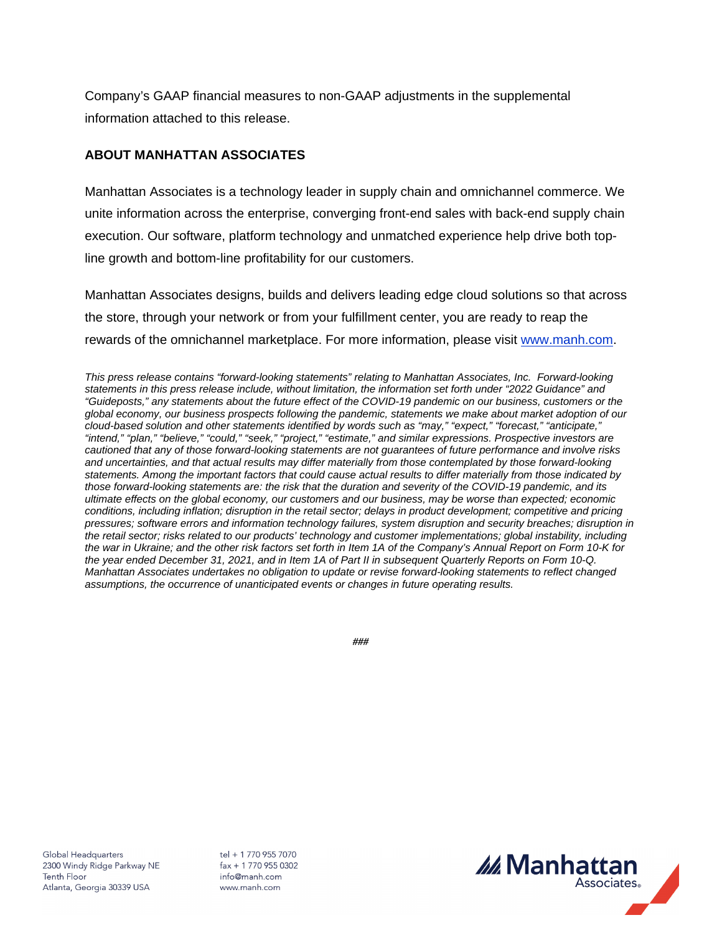Company's GAAP financial measures to non-GAAP adjustments in the supplemental information attached to this release.

# **ABOUT MANHATTAN ASSOCIATES**

Manhattan Associates is a technology leader in supply chain and omnichannel commerce. We unite information across the enterprise, converging front-end sales with back-end supply chain execution. Our software, platform technology and unmatched experience help drive both topline growth and bottom-line profitability for our customers.

Manhattan Associates designs, builds and delivers leading edge cloud solutions so that across the store, through your network or from your fulfillment center, you are ready to reap the rewards of the omnichannel marketplace. For more information, please visit [www.manh.com](http://www.manh.com/).

This press release contains "forward-looking statements" relating to Manhattan Associates, Inc. Forward-looking statements in this press release include, without limitation, the information set forth under "2022 Guidance" and "Guideposts," any statements about the future effect of the COVID-19 pandemic on our business, customers or the global economy, our business prospects following the pandemic, statements we make about market adoption of our cloud-based solution and other statements identified by words such as "may," "expect," "forecast," "anticipate," "intend," "plan," "believe," "could," "seek," "project," "estimate," and similar expressions. Prospective investors are cautioned that any of those forward-looking statements are not guarantees of future performance and involve risks and uncertainties, and that actual results may differ materially from those contemplated by those forward-looking statements. Among the important factors that could cause actual results to differ materially from those indicated by those forward-looking statements are: the risk that the duration and severity of the COVID-19 pandemic, and its ultimate effects on the global economy, our customers and our business, may be worse than expected; economic conditions, including inflation; disruption in the retail sector; delays in product development; competitive and pricing pressures; software errors and information technology failures, system disruption and security breaches; disruption in the retail sector; risks related to our products' technology and customer implementations; global instability, including the war in Ukraine; and the other risk factors set forth in Item 1A of the Company's Annual Report on Form 10-K for the year ended December 31, 2021, and in Item 1A of Part II in subsequent Quarterly Reports on Form 10-Q. Manhattan Associates undertakes no obligation to update or revise forward-looking statements to reflect changed assumptions, the occurrence of unanticipated events or changes in future operating results.

*###*

Global Headquarters 2300 Windy Ridge Parkway NE **Tenth Floor** Atlanta, Georgia 30339 USA

tel + 1 770 955 7070  $\text{fax} + 17709550302$ info@manh.com www.manh.com

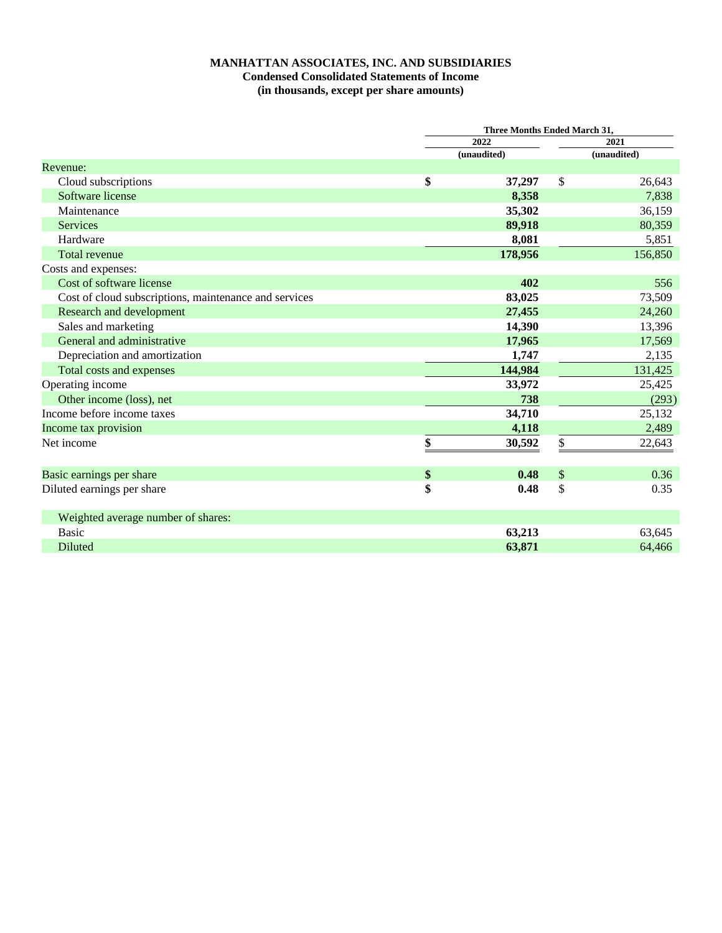# **MANHATTAN ASSOCIATES, INC. AND SUBSIDIARIES Condensed Consolidated Statements of Income (in thousands, except per share amounts)**

|                                                       | Three Months Ended March 31, |             |      |             |
|-------------------------------------------------------|------------------------------|-------------|------|-------------|
|                                                       |                              | 2022        | 2021 |             |
|                                                       |                              | (unaudited) |      | (unaudited) |
| Revenue:                                              |                              |             |      |             |
| Cloud subscriptions                                   | \$                           | 37,297      | \$   | 26,643      |
| Software license                                      |                              | 8,358       |      | 7,838       |
| Maintenance                                           |                              | 35,302      |      | 36,159      |
| <b>Services</b>                                       |                              | 89,918      |      | 80,359      |
| Hardware                                              |                              | 8,081       |      | 5,851       |
| Total revenue                                         |                              | 178,956     |      | 156,850     |
| Costs and expenses:                                   |                              |             |      |             |
| Cost of software license                              |                              | 402         |      | 556         |
| Cost of cloud subscriptions, maintenance and services |                              | 83,025      |      | 73,509      |
| Research and development                              |                              | 27,455      |      | 24,260      |
| Sales and marketing                                   |                              | 14,390      |      | 13,396      |
| General and administrative                            |                              | 17,965      |      | 17,569      |
| Depreciation and amortization                         |                              | 1,747       |      | 2,135       |
| Total costs and expenses                              |                              | 144,984     |      | 131,425     |
| Operating income                                      |                              | 33,972      |      | 25,425      |
| Other income (loss), net                              |                              | 738         |      | (293)       |
| Income before income taxes                            |                              | 34,710      |      | 25,132      |
| Income tax provision                                  |                              | 4,118       |      | 2,489       |
| Net income                                            | \$                           | 30,592      | \$   | 22,643      |
|                                                       |                              |             |      |             |
| Basic earnings per share                              | \$                           | 0.48        | \$   | 0.36        |
| Diluted earnings per share                            | \$                           | 0.48        | \$   | 0.35        |
| Weighted average number of shares:                    |                              |             |      |             |
| <b>Basic</b>                                          |                              | 63,213      |      | 63,645      |
| Diluted                                               |                              | 63,871      |      | 64,466      |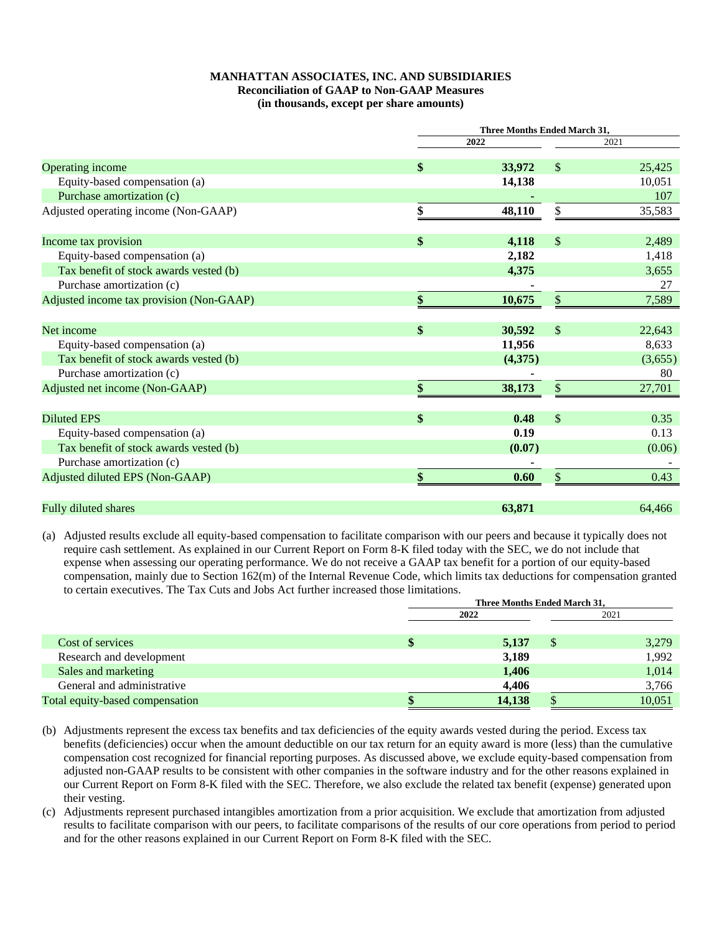#### **MANHATTAN ASSOCIATES, INC. AND SUBSIDIARIES Reconciliation of GAAP to Non-GAAP Measures (in thousands, except per share amounts)**

|                                          | Three Months Ended March 31, |               |         |
|------------------------------------------|------------------------------|---------------|---------|
|                                          | 2022                         |               | 2021    |
| Operating income                         | \$<br>33,972                 | $\mathbb{S}$  | 25,425  |
| Equity-based compensation (a)            | 14,138                       |               | 10,051  |
| Purchase amortization (c)                |                              |               | 107     |
| Adjusted operating income (Non-GAAP)     | \$<br>48,110                 | \$            | 35,583  |
| Income tax provision                     | \$<br>4,118                  | $\mathbb{S}$  | 2,489   |
| Equity-based compensation (a)            | 2,182                        |               | 1,418   |
| Tax benefit of stock awards vested (b)   | 4,375                        |               | 3,655   |
| Purchase amortization (c)                |                              |               | 27      |
| Adjusted income tax provision (Non-GAAP) | \$<br>10,675                 | \$            | 7,589   |
| Net income                               | \$<br>30,592                 | $\mathbb{S}$  | 22,643  |
| Equity-based compensation (a)            | 11,956                       |               | 8,633   |
| Tax benefit of stock awards vested (b)   | (4,375)                      |               | (3,655) |
| Purchase amortization (c)                |                              |               | 80      |
| Adjusted net income (Non-GAAP)           | \$<br>38,173                 | \$            | 27,701  |
| <b>Diluted EPS</b>                       | \$<br>0.48                   | $\mathcal{S}$ | 0.35    |
| Equity-based compensation (a)            | 0.19                         |               | 0.13    |
| Tax benefit of stock awards vested (b)   | (0.07)                       |               | (0.06)  |
| Purchase amortization (c)                |                              |               |         |
| Adjusted diluted EPS (Non-GAAP)          | \$<br>0.60                   | \$            | 0.43    |
| Fully diluted shares                     | 63,871                       |               | 64,466  |

(a) Adjusted results exclude all equity-based compensation to facilitate comparison with our peers and because it typically does not require cash settlement. As explained in our Current Report on Form 8-K filed today with the SEC, we do not include that expense when assessing our operating performance. We do not receive a GAAP tax benefit for a portion of our equity-based compensation, mainly due to Section 162(m) of the Internal Revenue Code, which limits tax deductions for compensation granted to certain executives. The Tax Cuts and Jobs Act further increased those limitations.

|                                 | Three Months Ended March 31, |        |    |        |  |  |
|---------------------------------|------------------------------|--------|----|--------|--|--|
|                                 | 2022                         |        |    | 2021   |  |  |
|                                 |                              |        |    |        |  |  |
| Cost of services                |                              | 5,137  | \$ | 3,279  |  |  |
| Research and development        |                              | 3,189  |    | 1,992  |  |  |
| Sales and marketing             |                              | 1,406  |    | 1,014  |  |  |
| General and administrative      |                              | 4,406  |    | 3,766  |  |  |
| Total equity-based compensation |                              | 14,138 |    | 10,051 |  |  |

- (b) Adjustments represent the excess tax benefits and tax deficiencies of the equity awards vested during the period. Excess tax benefits (deficiencies) occur when the amount deductible on our tax return for an equity award is more (less) than the cumulative compensation cost recognized for financial reporting purposes. As discussed above, we exclude equity-based compensation from adjusted non-GAAP results to be consistent with other companies in the software industry and for the other reasons explained in our Current Report on Form 8-K filed with the SEC. Therefore, we also exclude the related tax benefit (expense) generated upon their vesting.
- (c) Adjustments represent purchased intangibles amortization from a prior acquisition. We exclude that amortization from adjusted results to facilitate comparison with our peers, to facilitate comparisons of the results of our core operations from period to period and for the other reasons explained in our Current Report on Form 8-K filed with the SEC.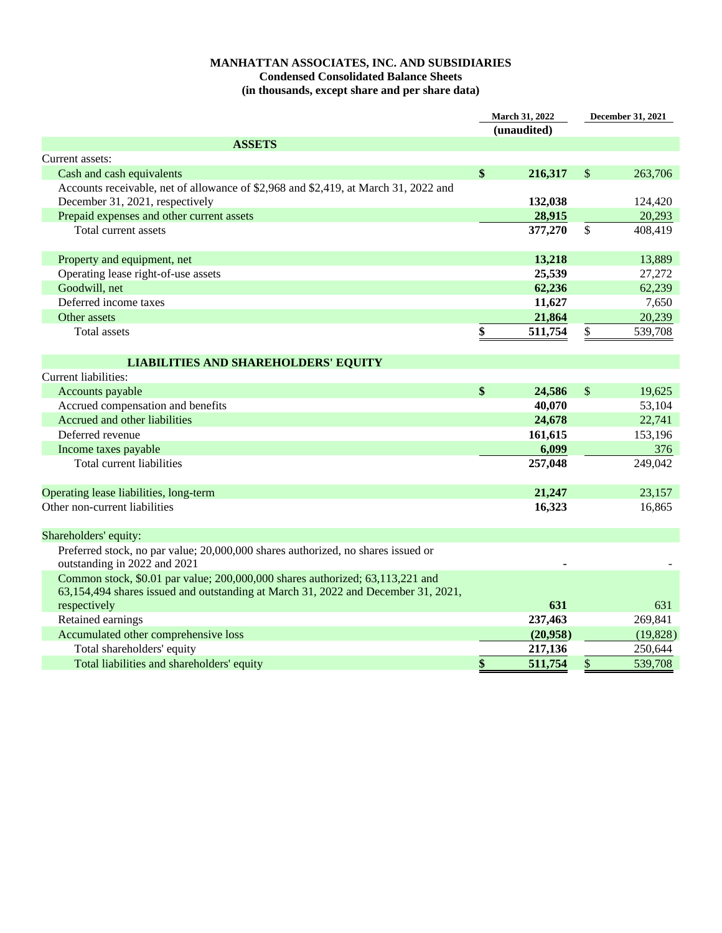# **MANHATTAN ASSOCIATES, INC. AND SUBSIDIARIES Condensed Consolidated Balance Sheets (in thousands, except share and per share data)**

| March 31, 2022<br>(unaudited)                                                                                                                                      |    | <b>December 31, 2021</b> |                   |           |
|--------------------------------------------------------------------------------------------------------------------------------------------------------------------|----|--------------------------|-------------------|-----------|
| <b>ASSETS</b>                                                                                                                                                      |    |                          |                   |           |
| Current assets:                                                                                                                                                    |    |                          |                   |           |
| Cash and cash equivalents                                                                                                                                          | \$ | 216,317                  | $\mathcal{S}$     | 263,706   |
| Accounts receivable, net of allowance of \$2,968 and \$2,419, at March 31, 2022 and                                                                                |    |                          |                   |           |
| December 31, 2021, respectively                                                                                                                                    |    | 132,038                  |                   | 124,420   |
| Prepaid expenses and other current assets                                                                                                                          |    | 28,915                   |                   | 20,293    |
| Total current assets                                                                                                                                               |    | 377,270                  | $\mathbb{S}$      | 408,419   |
| Property and equipment, net                                                                                                                                        |    | 13,218                   |                   | 13,889    |
| Operating lease right-of-use assets                                                                                                                                |    | 25,539                   |                   | 27,272    |
| Goodwill, net                                                                                                                                                      |    | 62,236                   |                   | 62,239    |
| Deferred income taxes                                                                                                                                              |    | 11,627                   |                   | 7,650     |
| Other assets                                                                                                                                                       |    | 21,864                   |                   | 20,239    |
| Total assets                                                                                                                                                       | \$ | 511,754                  | \$                | 539,708   |
|                                                                                                                                                                    |    |                          |                   |           |
| <b>LIABILITIES AND SHAREHOLDERS' EQUITY</b>                                                                                                                        |    |                          |                   |           |
| Current liabilities:                                                                                                                                               |    |                          |                   |           |
| Accounts payable                                                                                                                                                   | \$ | 24,586                   | \$                | 19,625    |
| Accrued compensation and benefits                                                                                                                                  |    | 40,070                   |                   | 53,104    |
| Accrued and other liabilities                                                                                                                                      |    | 24,678                   |                   | 22,741    |
| Deferred revenue                                                                                                                                                   |    | 161,615                  |                   | 153,196   |
| Income taxes payable                                                                                                                                               |    | 6,099                    |                   | 376       |
| Total current liabilities                                                                                                                                          |    | 257,048                  |                   | 249,042   |
| Operating lease liabilities, long-term                                                                                                                             |    | 21,247                   |                   | 23,157    |
| Other non-current liabilities                                                                                                                                      |    | 16,323                   |                   | 16,865    |
| Shareholders' equity:                                                                                                                                              |    |                          |                   |           |
| Preferred stock, no par value; 20,000,000 shares authorized, no shares issued or<br>outstanding in 2022 and 2021                                                   |    |                          |                   |           |
| Common stock, \$0.01 par value; 200,000,000 shares authorized; 63,113,221 and<br>63,154,494 shares issued and outstanding at March 31, 2022 and December 31, 2021, |    |                          |                   |           |
| respectively                                                                                                                                                       |    | 631                      |                   | 631       |
| Retained earnings                                                                                                                                                  |    | 237,463                  |                   | 269,841   |
| Accumulated other comprehensive loss                                                                                                                               |    | (20,958)                 |                   | (19, 828) |
| Total shareholders' equity                                                                                                                                         |    | 217,136                  |                   | 250,644   |
| Total liabilities and shareholders' equity                                                                                                                         | \$ | 511,754                  | $\boldsymbol{\$}$ | 539,708   |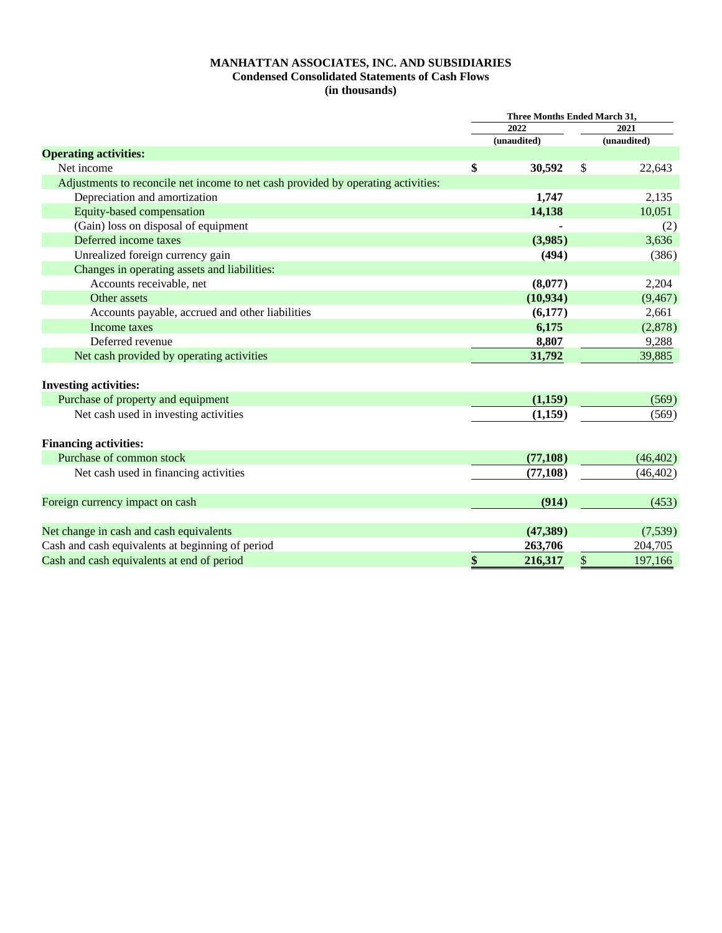## **MANHATTAN ASSOCIATES, INC. AND SUBSIDIARIES Condensed Consolidated Statements of Cash Flows (in thousands)**

|                                                                                   | <b>Three Months Ended March 31,</b> |             |    |             |
|-----------------------------------------------------------------------------------|-------------------------------------|-------------|----|-------------|
|                                                                                   |                                     | 2022        |    | 2021        |
|                                                                                   |                                     | (unaudited) |    | (unaudited) |
| <b>Operating activities:</b>                                                      |                                     |             |    |             |
| Net income                                                                        | \$                                  | 30,592      | \$ | 22,643      |
| Adjustments to reconcile net income to net cash provided by operating activities: |                                     |             |    |             |
| Depreciation and amortization                                                     |                                     | 1,747       |    | 2,135       |
| Equity-based compensation                                                         |                                     | 14,138      |    | 10,051      |
| (Gain) loss on disposal of equipment                                              |                                     |             |    | (2)         |
| Deferred income taxes                                                             |                                     | (3,985)     |    | 3,636       |
| Unrealized foreign currency gain                                                  |                                     | (494)       |    | (386)       |
| Changes in operating assets and liabilities:                                      |                                     |             |    |             |
| Accounts receivable, net                                                          |                                     | (8,077)     |    | 2,204       |
| Other assets                                                                      |                                     | (10, 934)   |    | (9, 467)    |
| Accounts payable, accrued and other liabilities                                   |                                     | (6,177)     |    | 2,661       |
| Income taxes                                                                      |                                     | 6,175       |    | (2,878)     |
| Deferred revenue                                                                  |                                     | 8,807       |    | 9,288       |
| Net cash provided by operating activities                                         |                                     | 31,792      |    | 39,885      |
| <b>Investing activities:</b>                                                      |                                     |             |    |             |
| Purchase of property and equipment                                                |                                     | (1,159)     |    | (569)       |
| Net cash used in investing activities                                             |                                     | (1,159)     |    | (569)       |
|                                                                                   |                                     |             |    |             |
| <b>Financing activities:</b>                                                      |                                     |             |    |             |
| Purchase of common stock                                                          |                                     | (77, 108)   |    | (46, 402)   |
| Net cash used in financing activities                                             |                                     | (77, 108)   |    | (46, 402)   |
| Foreign currency impact on cash                                                   |                                     | (914)       |    | (453)       |
|                                                                                   |                                     |             |    |             |
| Net change in cash and cash equivalents                                           |                                     | (47,389)    |    | (7,539)     |
| Cash and cash equivalents at beginning of period                                  |                                     | 263,706     |    | 204,705     |
| Cash and cash equivalents at end of period                                        | \$                                  | 216,317     | \$ | 197,166     |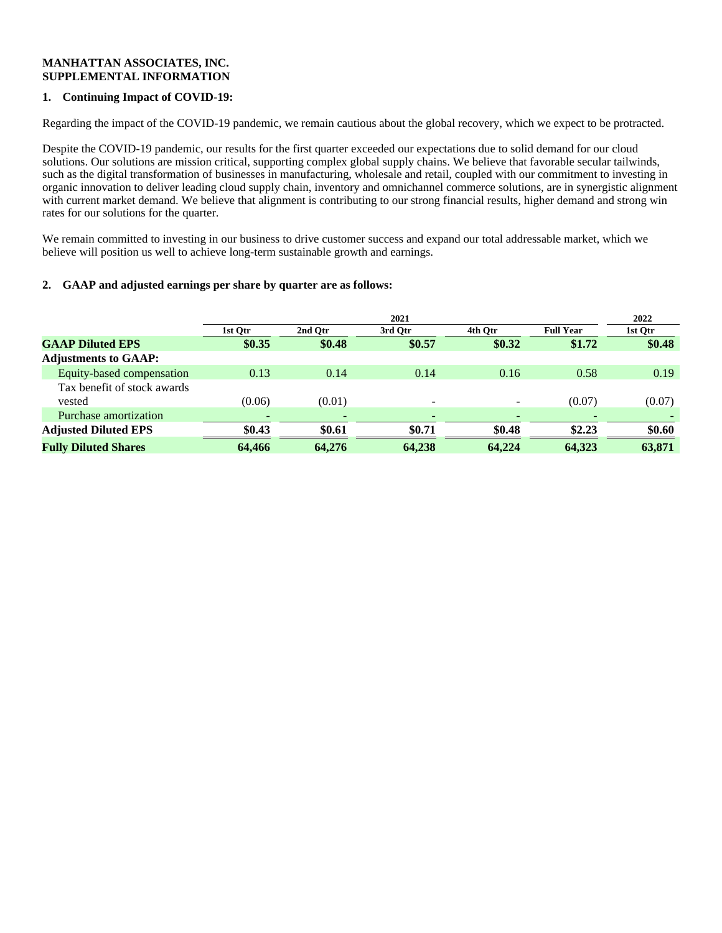### **MANHATTAN ASSOCIATES, INC. SUPPLEMENTAL INFORMATION**

# **1. Continuing Impact of COVID-19:**

Regarding the impact of the COVID-19 pandemic, we remain cautious about the global recovery, which we expect to be protracted.

Despite the COVID-19 pandemic, our results for the first quarter exceeded our expectations due to solid demand for our cloud solutions. Our solutions are mission critical, supporting complex global supply chains. We believe that favorable secular tailwinds, such as the digital transformation of businesses in manufacturing, wholesale and retail, coupled with our commitment to investing in organic innovation to deliver leading cloud supply chain, inventory and omnichannel commerce solutions, are in synergistic alignment with current market demand. We believe that alignment is contributing to our strong financial results, higher demand and strong win rates for our solutions for the quarter.

We remain committed to investing in our business to drive customer success and expand our total addressable market, which we believe will position us well to achieve long-term sustainable growth and earnings.

### **2. GAAP and adjusted earnings per share by quarter are as follows:**

|                             | 2021                     |         |         |         |                  |         |
|-----------------------------|--------------------------|---------|---------|---------|------------------|---------|
|                             | 1st Otr                  | 2nd Otr | 3rd Otr | 4th Otr | <b>Full Year</b> | 1st Otr |
| <b>GAAP Diluted EPS</b>     | \$0.35                   | \$0.48  | \$0.57  | \$0.32  | \$1.72           | \$0.48  |
| <b>Adjustments to GAAP:</b> |                          |         |         |         |                  |         |
| Equity-based compensation   | 0.13                     | 0.14    | 0.14    | 0.16    | 0.58             | 0.19    |
| Tax benefit of stock awards |                          |         |         |         |                  |         |
| vested                      | (0.06)                   | (0.01)  |         | -       | (0.07)           | (0.07)  |
| Purchase amortization       | $\overline{\phantom{0}}$ |         |         |         |                  |         |
| <b>Adjusted Diluted EPS</b> | \$0.43                   | \$0.61  | \$0.71  | \$0.48  | \$2.23           | \$0.60  |
| <b>Fully Diluted Shares</b> | 64.466                   | 64,276  | 64,238  | 64,224  | 64.323           | 63,871  |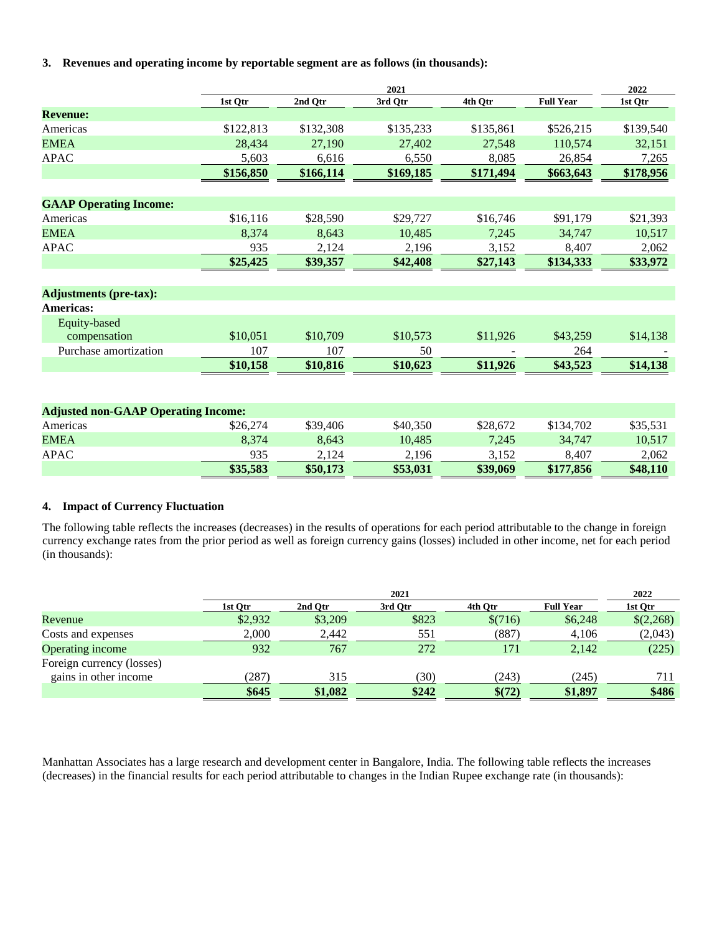**3. Revenues and operating income by reportable segment are as follows (in thousands):**

|                                            | 2021      |           |           |           |                  |           |
|--------------------------------------------|-----------|-----------|-----------|-----------|------------------|-----------|
|                                            | 1st Qtr   | 2nd Qtr   | 3rd Qtr   | 4th Qtr   | <b>Full Year</b> | 1st Qtr   |
| <b>Revenue:</b>                            |           |           |           |           |                  |           |
| Americas                                   | \$122,813 | \$132,308 | \$135,233 | \$135,861 | \$526,215        | \$139,540 |
| <b>EMEA</b>                                | 28,434    | 27,190    | 27,402    | 27,548    | 110,574          | 32,151    |
| <b>APAC</b>                                | 5,603     | 6.616     | 6,550     | 8,085     | 26,854           | 7,265     |
|                                            | \$156,850 | \$166,114 | \$169,185 | \$171,494 | \$663,643        | \$178,956 |
|                                            |           |           |           |           |                  |           |
| <b>GAAP Operating Income:</b>              |           |           |           |           |                  |           |
| Americas                                   | \$16,116  | \$28,590  | \$29,727  | \$16,746  | \$91,179         | \$21,393  |
| <b>EMEA</b>                                | 8,374     | 8.643     | 10,485    | 7,245     | 34,747           | 10,517    |
| <b>APAC</b>                                | 935       | 2,124     | 2,196     | 3,152     | 8,407            | 2,062     |
|                                            | \$25,425  | \$39,357  | \$42,408  | \$27,143  | \$134,333        | \$33,972  |
|                                            |           |           |           |           |                  |           |
| <b>Adjustments (pre-tax):</b>              |           |           |           |           |                  |           |
| <b>Americas:</b>                           |           |           |           |           |                  |           |
| Equity-based                               |           |           |           |           |                  |           |
| compensation                               | \$10,051  | \$10,709  | \$10,573  | \$11,926  | \$43,259         | \$14,138  |
| Purchase amortization                      | 107       | 107       | 50        |           | 264              |           |
|                                            | \$10,158  | \$10,816  | \$10,623  | \$11,926  | \$43,523         | \$14,138  |
|                                            |           |           |           |           |                  |           |
|                                            |           |           |           |           |                  |           |
| <b>Adjusted non-GAAP Operating Income:</b> |           |           |           |           |                  |           |
| Americas                                   | \$26,274  | \$39,406  | \$40,350  | \$28,672  | \$134,702        | \$35,531  |
| <b>EMEA</b>                                | 8,374     | 8,643     | 10,485    | 7,245     | 34,747           | 10,517    |
| <b>APAC</b>                                | 935       | 2,124     | 2,196     | 3,152     | 8,407            | 2,062     |
|                                            | \$35,583  | \$50,173  | \$53,031  | \$39,069  | \$177,856        | \$48,110  |

### **4. Impact of Currency Fluctuation**

The following table reflects the increases (decreases) in the results of operations for each period attributable to the change in foreign currency exchange rates from the prior period as well as foreign currency gains (losses) included in other income, net for each period (in thousands):

|                           |         | 2021    |         |         |                  |           |  |
|---------------------------|---------|---------|---------|---------|------------------|-----------|--|
|                           | 1st Qtr | 2nd Otr | 3rd Otr | 4th Otr | <b>Full Year</b> | 1st Qtr   |  |
| Revenue                   | \$2,932 | \$3,209 | \$823   | \$(716) | \$6,248          | \$(2,268) |  |
| Costs and expenses        | 2,000   | 2,442   | 551     | (887)   | 4,106            | (2,043)   |  |
| Operating income          | 932     | 767     | 272     | 171     | 2,142            | (225)     |  |
| Foreign currency (losses) |         |         |         |         |                  |           |  |
| gains in other income     | (287    | 315     | (30)    | (243)   | (245)            | 711       |  |
|                           | \$645   | \$1,082 | \$242   | \$(72)  | \$1,897          | \$486     |  |

Manhattan Associates has a large research and development center in Bangalore, India. The following table reflects the increases (decreases) in the financial results for each period attributable to changes in the Indian Rupee exchange rate (in thousands):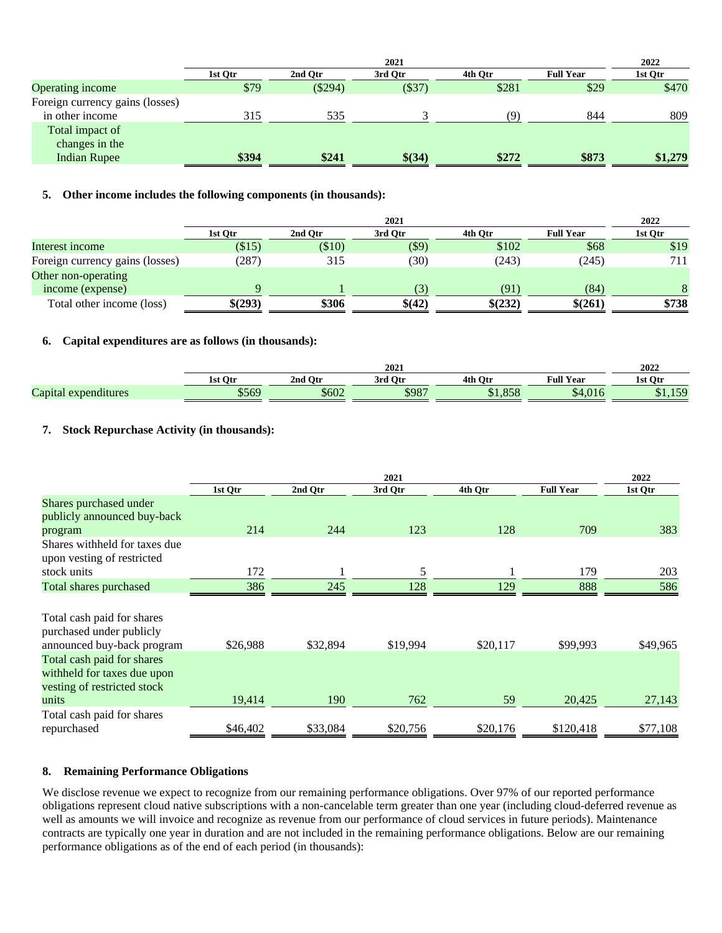|                                 | 2021    |           |         |         |                  | 2022    |
|---------------------------------|---------|-----------|---------|---------|------------------|---------|
|                                 | 1st Otr | 2nd Otr   | 3rd Otr | 4th Otr | <b>Full Year</b> | 1st Otr |
| <b>Operating income</b>         | \$79    | $(\$294)$ | (\$37)  | \$281   | \$29             | \$470   |
| Foreign currency gains (losses) |         |           |         |         |                  |         |
| in other income                 | 315     | 535       |         | (9`     | 844              | 809     |
| Total impact of                 |         |           |         |         |                  |         |
| changes in the                  |         |           |         |         |                  |         |
| <b>Indian Rupee</b>             | \$394   | \$241     | \$(34)  | \$272   | \$873            | \$1,279 |
|                                 |         |           |         |         |                  |         |

## **5. Other income includes the following components (in thousands):**

|                                 | 2021     |         |          |         |                  |         |
|---------------------------------|----------|---------|----------|---------|------------------|---------|
|                                 | 1st Otr  | 2nd Otr | 3rd Otr  | 4th Otr | <b>Full Year</b> | 1st Qtr |
| Interest income                 | $(\$15)$ | \$10)   | $($ \$9) | \$102   | \$68             | \$19    |
| Foreign currency gains (losses) | (287)    | 315     | (30)     | (243)   | (245)            | 711     |
| Other non-operating             |          |         |          |         |                  |         |
| income (expense)                |          |         | (3)      | (91)    | (84)             |         |
| Total other income (loss)       | \$(293)  | \$306   | \$(42)   | \$(232) | \$(261)          | \$738   |

## **6. Capital expenditures are as follows (in thousands):**

|                         |             | 2022    |                  |                    |                      |         |
|-------------------------|-------------|---------|------------------|--------------------|----------------------|---------|
|                         | 1st Ot      | 2nd Otr | Otr<br>3rd       | $_{\rm Ot}$<br>4th | <b>Full Year</b>     | 1st Otr |
| Capital<br>expenditures | <b>¢560</b> | \$602   | \$087<br>$D/O$ . |                    | $\sim$ $\sim$<br>ጠ 4 | $\sim$  |

## **7. Stock Repurchase Activity (in thousands):**

|                                                                                                                                                                                  | 2021     |          |          |          |                  | 2022     |
|----------------------------------------------------------------------------------------------------------------------------------------------------------------------------------|----------|----------|----------|----------|------------------|----------|
|                                                                                                                                                                                  | 1st Qtr  | 2nd Qtr  | 3rd Qtr  | 4th Qtr  | <b>Full Year</b> | 1st Qtr  |
| Shares purchased under<br>publicly announced buy-back                                                                                                                            | 214      | 244      | 123      | 128      | 709              | 383      |
| program                                                                                                                                                                          |          |          |          |          |                  |          |
| Shares withheld for taxes due<br>upon vesting of restricted                                                                                                                      |          |          |          |          |                  |          |
| stock units                                                                                                                                                                      | 172      |          | 5        |          | 179              | 203      |
| <b>Total shares purchased</b>                                                                                                                                                    | 386      | 245      | 128      | 129      | 888              | 586      |
| Total cash paid for shares<br>purchased under publicly<br>announced buy-back program<br>Total cash paid for shares<br>withheld for taxes due upon<br>vesting of restricted stock | \$26,988 | \$32,894 | \$19,994 | \$20,117 | \$99,993         | \$49,965 |
| units                                                                                                                                                                            | 19,414   | 190      | 762      | 59       | 20,425           | 27,143   |
| Total cash paid for shares<br>repurchased                                                                                                                                        | \$46,402 | \$33,084 | \$20,756 | \$20,176 | \$120,418        | \$77,108 |

### **8. Remaining Performance Obligations**

We disclose revenue we expect to recognize from our remaining performance obligations. Over 97% of our reported performance obligations represent cloud native subscriptions with a non-cancelable term greater than one year (including cloud-deferred revenue as well as amounts we will invoice and recognize as revenue from our performance of cloud services in future periods). Maintenance contracts are typically one year in duration and are not included in the remaining performance obligations. Below are our remaining performance obligations as of the end of each period (in thousands):